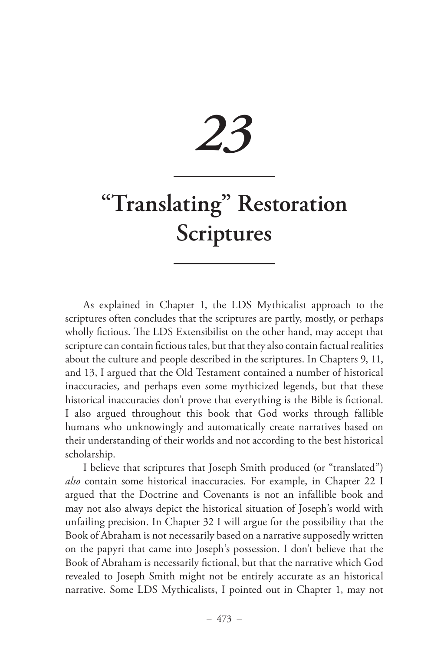# *23*

# **"Translating" Restoration Scriptures**

As explained in Chapter 1, the LDS Mythicalist approach to the scriptures often concludes that the scriptures are partly, mostly, or perhaps wholly fictious. The LDS Extensibilist on the other hand, may accept that scripture can contain fictious tales, but that they also contain factual realities about the culture and people described in the scriptures. In Chapters 9, 11, and 13, I argued that the Old Testament contained a number of historical inaccuracies, and perhaps even some mythicized legends, but that these historical inaccuracies don't prove that everything is the Bible is fictional. I also argued throughout this book that God works through fallible humans who unknowingly and automatically create narratives based on their understanding of their worlds and not according to the best historical scholarship.

I believe that scriptures that Joseph Smith produced (or "translated") *also* contain some historical inaccuracies. For example, in Chapter 22 I argued that the Doctrine and Covenants is not an infallible book and may not also always depict the historical situation of Joseph's world with unfailing precision. In Chapter 32 I will argue for the possibility that the Book of Abraham is not necessarily based on a narrative supposedly written on the papyri that came into Joseph's possession. I don't believe that the Book of Abraham is necessarily fictional, but that the narrative which God revealed to Joseph Smith might not be entirely accurate as an historical narrative. Some LDS Mythicalists, I pointed out in Chapter 1, may not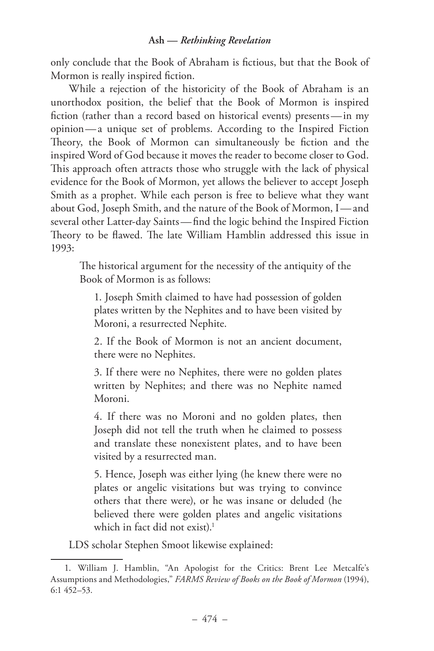only conclude that the Book of Abraham is fictious, but that the Book of Mormon is really inspired fiction.

While a rejection of the historicity of the Book of Abraham is an unorthodox position, the belief that the Book of Mormon is inspired fiction (rather than a record based on historical events) presents —in my opinion— a unique set of problems. According to the Inspired Fiction Theory, the Book of Mormon can simultaneously be fiction and the inspired Word of God because it moves the reader to become closer to God. This approach often attracts those who struggle with the lack of physical evidence for the Book of Mormon, yet allows the believer to accept Joseph Smith as a prophet. While each person is free to believe what they want about God, Joseph Smith, and the nature of the Book of Mormon, I— and several other Latter-day Saints—find the logic behind the Inspired Fiction Theory to be flawed. The late William Hamblin addressed this issue in 1993:

The historical argument for the necessity of the antiquity of the Book of Mormon is as follows:

1. Joseph Smith claimed to have had possession of golden plates written by the Nephites and to have been visited by Moroni, a resurrected Nephite.

2. If the Book of Mormon is not an ancient document, there were no Nephites.

3. If there were no Nephites, there were no golden plates written by Nephites; and there was no Nephite named Moroni.

4. If there was no Moroni and no golden plates, then Joseph did not tell the truth when he claimed to possess and translate these nonexistent plates, and to have been visited by a resurrected man.

5. Hence, Joseph was either lying (he knew there were no plates or angelic visitations but was trying to convince others that there were), or he was insane or deluded (he believed there were golden plates and angelic visitations which in fact did not exist).<sup>1</sup>

LDS scholar Stephen Smoot likewise explained:

<sup>1.</sup> William J. Hamblin, "An Apologist for the Critics: Brent Lee Metcalfe's Assumptions and Methodologies," *FARMS Review of Books on the Book of Mormon* (1994), 6:1 452–53.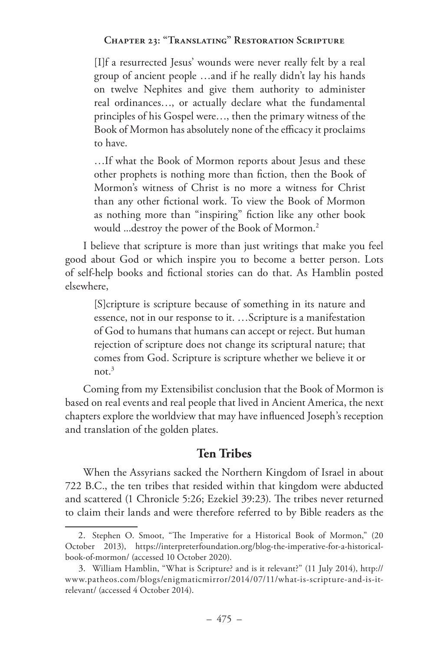[I]f a resurrected Jesus' wounds were never really felt by a real group of ancient people …and if he really didn't lay his hands on twelve Nephites and give them authority to administer real ordinances…, or actually declare what the fundamental principles of his Gospel were…, then the primary witness of the Book of Mormon has absolutely none of the efficacy it proclaims to have.

…If what the Book of Mormon reports about Jesus and these other prophets is nothing more than fiction, then the Book of Mormon's witness of Christ is no more a witness for Christ than any other fictional work. To view the Book of Mormon as nothing more than "inspiring" fiction like any other book would ...destroy the power of the Book of Mormon.2

I believe that scripture is more than just writings that make you feel good about God or which inspire you to become a better person. Lots of self-help books and fictional stories can do that. As Hamblin posted elsewhere,

[S]cripture is scripture because of something in its nature and essence, not in our response to it. …Scripture is a manifestation of God to humans that humans can accept or reject. But human rejection of scripture does not change its scriptural nature; that comes from God. Scripture is scripture whether we believe it or not  $3$ 

Coming from my Extensibilist conclusion that the Book of Mormon is based on real events and real people that lived in Ancient America, the next chapters explore the worldview that may have influenced Joseph's reception and translation of the golden plates.

# **Ten Tribes**

When the Assyrians sacked the Northern Kingdom of Israel in about 722 B.C., the ten tribes that resided within that kingdom were abducted and scattered (1 Chronicle 5:26; Ezekiel 39:23). The tribes never returned to claim their lands and were therefore referred to by Bible readers as the

<sup>2.</sup> Stephen O. Smoot, "The Imperative for a Historical Book of Mormon," (20 October 2013), https://interpreterfoundation.org/blog-the-imperative-for-a-historicalbook-of-mormon/ (accessed 10 October 2020).

<sup>3.</sup> William Hamblin, "What is Scripture? and is it relevant?" (11 July 2014), http:// www.patheos.com/blogs/enigmaticmirror/2014/07/11/what-is-scripture-and-is-itrelevant/ (accessed 4 October 2014).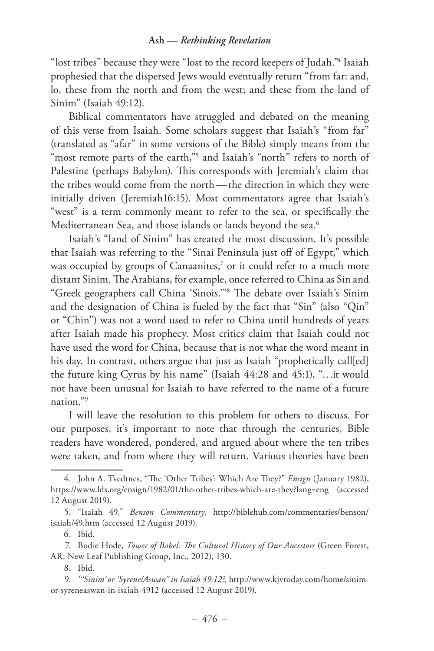"lost tribes" because they were "lost to the record keepers of Judah."4 Isaiah prophesied that the dispersed Jews would eventually return "from far: and, lo, these from the north and from the west; and these from the land of Sinim" (Isaiah 49:12).

Biblical commentators have struggled and debated on the meaning of this verse from Isaiah. Some scholars suggest that Isaiah's "from far" (translated as "afar" in some versions of the Bible) simply means from the "most remote parts of the earth,"<sup>5</sup> and Isaiah's "north" refers to north of Palestine (perhaps Babylon). This corresponds with Jeremiah's claim that the tribes would come from the north—the direction in which they were initially driven (Jeremiah16:15). Most commentators agree that Isaiah's "west" is a term commonly meant to refer to the sea, or specifically the Mediterranean Sea, and those islands or lands beyond the sea.<sup>6</sup>

Isaiah's "land of Sinim" has created the most discussion. It's possible that Isaiah was referring to the "Sinai Peninsula just off of Egypt," which was occupied by groups of Canaanites, $^7$  or it could refer to a much more distant Sinim. The Arabians, for example, once referred to China as Sin and "Greek geographers call China 'Sinois.'"8 The debate over Isaiah's Sinim and the designation of China is fueled by the fact that "Sin" (also "Qin" or "Chin") was not a word used to refer to China until hundreds of years after Isaiah made his prophecy. Most critics claim that Isaiah could not have used the word for China, because that is not what the word meant in his day. In contrast, others argue that just as Isaiah "prophetically call[ed] the future king Cyrus by his name" (Isaiah 44:28 and 45:1), "…it would not have been unusual for Isaiah to have referred to the name of a future nation."9

I will leave the resolution to this problem for others to discuss. For our purposes, it's important to note that through the centuries, Bible readers have wondered, pondered, and argued about where the ten tribes were taken, and from where they will return. Various theories have been

<sup>4.</sup> John A. Tvedtnes, "The 'Other Tribes': Which Are They?" *Ensign* (January 1982), https://www.lds.org/ensign/1982/01/the-other-tribes-which-are-they?lang=eng (accessed 12 August 2019).

<sup>5.</sup> "Isaiah 49," *Benson Commentary*, http://biblehub.com/commentaries/benson/ isaiah/49.htm (accessed 12 August 2019).

<sup>6.</sup> Ibid.

<sup>7.</sup> Bodie Hode, *Tower of Babel: The Cultural History of Our Ancestors* (Green Forest, AR: New Leaf Publishing Group, Inc., 2012), 130.

<sup>8.</sup> Ibid.

<sup>9.</sup> *"'Sinim' or 'Syrene/Aswan" in Isaiah 49:12?,* http://www.kjvtoday.com/home/sinimor-syreneaswan-in-isaiah-4912 (accessed 12 August 2019).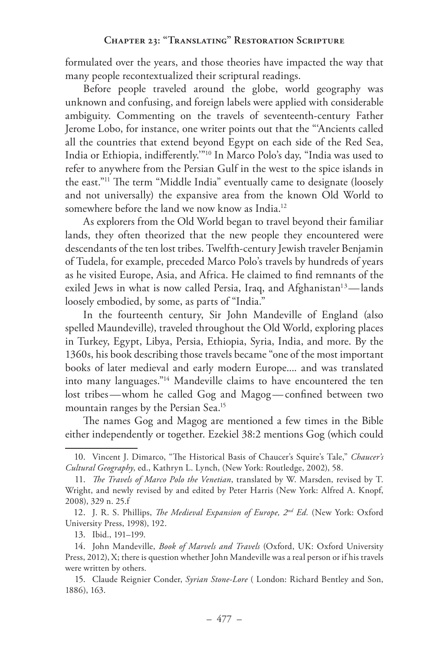formulated over the years, and those theories have impacted the way that many people recontextualized their scriptural readings.

Before people traveled around the globe, world geography was unknown and confusing, and foreign labels were applied with considerable ambiguity. Commenting on the travels of seventeenth-century Father Jerome Lobo, for instance, one writer points out that the "'Ancients called all the countries that extend beyond Egypt on each side of the Red Sea, India or Ethiopia, indifferently.'"10 In Marco Polo's day, "India was used to refer to anywhere from the Persian Gulf in the west to the spice islands in the east."11 The term "Middle India" eventually came to designate (loosely and not universally) the expansive area from the known Old World to somewhere before the land we now know as India.<sup>12</sup>

As explorers from the Old World began to travel beyond their familiar lands, they often theorized that the new people they encountered were descendants of the ten lost tribes. Twelfth-century Jewish traveler Benjamin of Tudela, for example, preceded Marco Polo's travels by hundreds of years as he visited Europe, Asia, and Africa. He claimed to find remnants of the exiled Jews in what is now called Persia, Iraq, and Afghanistan<sup>13</sup>—lands loosely embodied, by some, as parts of "India."

In the fourteenth century, Sir John Mandeville of England (also spelled Maundeville), traveled throughout the Old World, exploring places in Turkey, Egypt, Libya, Persia, Ethiopia, Syria, India, and more. By the 1360s, his book describing those travels became "one of the most important books of later medieval and early modern Europe.... and was translated into many languages."14 Mandeville claims to have encountered the ten lost tribes-whom he called Gog and Magog-confined between two mountain ranges by the Persian Sea.<sup>15</sup>

The names Gog and Magog are mentioned a few times in the Bible either independently or together. Ezekiel 38:2 mentions Gog (which could

<sup>10.</sup> Vincent J. Dimarco, "The Historical Basis of Chaucer's Squire's Tale," *Chaucer's Cultural Geography*, ed., Kathryn L. Lynch, (New York: Routledge, 2002), 58.

<sup>11.</sup> *The Travels of Marco Polo the Venetian*, translated by W. Marsden, revised by T. Wright, and newly revised by and edited by Peter Harris (New York: Alfred A. Knopf, 2008), 329 n. 25.f

<sup>12.</sup> J. R. S. Phillips, *The Medieval Expansion of Europe, 2nd Ed.* (New York: Oxford University Press, 1998), 192.

<sup>13.</sup> Ibid., 191–199.

<sup>14.</sup> John Mandeville, *Book of Marvels and Travels* (Oxford, UK: Oxford University Press, 2012), X; there is question whether John Mandeville was a real person or if his travels were written by others.

<sup>15.</sup> Claude Reignier Conder, *Syrian Stone-Lore* ( London: Richard Bentley and Son, 1886), 163.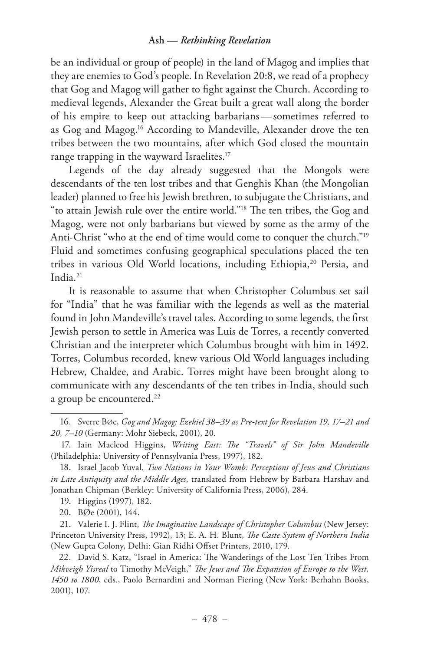be an individual or group of people) in the land of Magog and implies that they are enemies to God's people. In Revelation 20:8, we read of a prophecy that Gog and Magog will gather to fight against the Church. According to medieval legends, Alexander the Great built a great wall along the border of his empire to keep out attacking barbarians — sometimes referred to as Gog and Magog.16 According to Mandeville, Alexander drove the ten tribes between the two mountains, after which God closed the mountain range trapping in the wayward Israelites.<sup>17</sup>

Legends of the day already suggested that the Mongols were descendants of the ten lost tribes and that Genghis Khan (the Mongolian leader) planned to free his Jewish brethren, to subjugate the Christians, and "to attain Jewish rule over the entire world."18 The ten tribes, the Gog and Magog, were not only barbarians but viewed by some as the army of the Anti-Christ "who at the end of time would come to conquer the church."19 Fluid and sometimes confusing geographical speculations placed the ten tribes in various Old World locations, including Ethiopia,<sup>20</sup> Persia, and India.21

It is reasonable to assume that when Christopher Columbus set sail for "India" that he was familiar with the legends as well as the material found in John Mandeville's travel tales. According to some legends, the first Jewish person to settle in America was Luis de Torres, a recently converted Christian and the interpreter which Columbus brought with him in 1492. Torres, Columbus recorded, knew various Old World languages including Hebrew, Chaldee, and Arabic. Torres might have been brought along to communicate with any descendants of the ten tribes in India, should such a group be encountered.<sup>22</sup>

<sup>16.</sup> Sverre BØe, *Gog and Magog: Ezekiel 38–39 as Pre-text for Revelation 19, 17–21 and 20, 7–10* (Germany: Mohr Siebeck, 2001), 20.

<sup>17.</sup> Iain Macleod Higgins, *Writing East: The "Travels" of Sir John Mandeville* (Philadelphia: University of Pennsylvania Press, 1997), 182.

<sup>18.</sup> Israel Jacob Yuval, *Two Nations in Your Womb: Perceptions of Jews and Christians in Late Antiquity and the Middle Ages*, translated from Hebrew by Barbara Harshav and Jonathan Chipman (Berkley: University of California Press, 2006), 284.

<sup>19.</sup> Higgins (1997), 182.

<sup>20.</sup> BØe (2001), 144.

<sup>21.</sup> Valerie I. J. Flint, *The Imaginative Landscape of Christopher Columbus* (New Jersey: Princeton University Press, 1992), 13; E. A. H. Blunt, *The Caste System of Northern India* (New Gupta Colony, Delhi: Gian Ridhi Offset Printers, 2010, 179.

<sup>22.</sup> David S. Katz, "Israel in America: The Wanderings of the Lost Ten Tribes From *Mikveigh Yisreal* to Timothy McVeigh," *The Jews and The Expansion of Europe to the West, 1450 to 1800*, eds., Paolo Bernardini and Norman Fiering (New York: Berhahn Books, 2001), 107.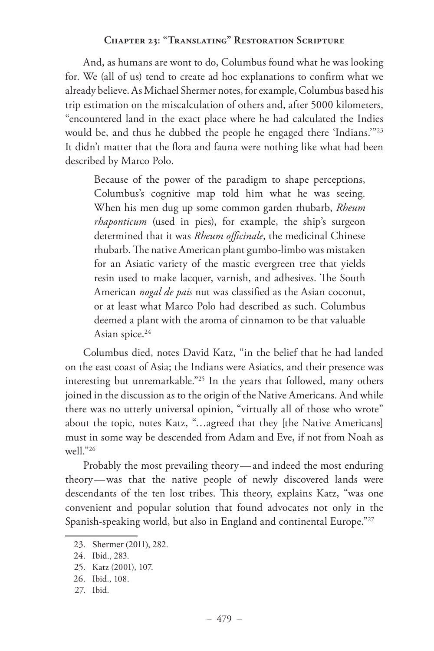And, as humans are wont to do, Columbus found what he was looking for. We (all of us) tend to create ad hoc explanations to confirm what we already believe. As Michael Shermer notes, for example, Columbus based his trip estimation on the miscalculation of others and, after 5000 kilometers, "encountered land in the exact place where he had calculated the Indies would be, and thus he dubbed the people he engaged there 'Indians.'"23 It didn't matter that the flora and fauna were nothing like what had been described by Marco Polo.

Because of the power of the paradigm to shape perceptions, Columbus's cognitive map told him what he was seeing. When his men dug up some common garden rhubarb, *Rheum rhaponticum* (used in pies), for example, the ship's surgeon determined that it was *Rheum officinale*, the medicinal Chinese rhubarb. The native American plant gumbo-limbo was mistaken for an Asiatic variety of the mastic evergreen tree that yields resin used to make lacquer, varnish, and adhesives. The South American *nogal de pais* nut was classified as the Asian coconut, or at least what Marco Polo had described as such. Columbus deemed a plant with the aroma of cinnamon to be that valuable Asian spice.<sup>24</sup>

Columbus died, notes David Katz, "in the belief that he had landed on the east coast of Asia; the Indians were Asiatics, and their presence was interesting but unremarkable."25 In the years that followed, many others joined in the discussion as to the origin of the Native Americans. And while there was no utterly universal opinion, "virtually all of those who wrote" about the topic, notes Katz, "…agreed that they [the Native Americans] must in some way be descended from Adam and Eve, if not from Noah as well<sup>"26</sup>

Probably the most prevailing theory— and indeed the most enduring theory—was that the native people of newly discovered lands were descendants of the ten lost tribes. This theory, explains Katz, "was one convenient and popular solution that found advocates not only in the Spanish-speaking world, but also in England and continental Europe."27

<sup>23.</sup> Shermer (2011), 282.

<sup>24.</sup> Ibid., 283.

<sup>25.</sup> Katz (2001), 107.

<sup>26.</sup> Ibid., 108.

<sup>27.</sup> Ibid.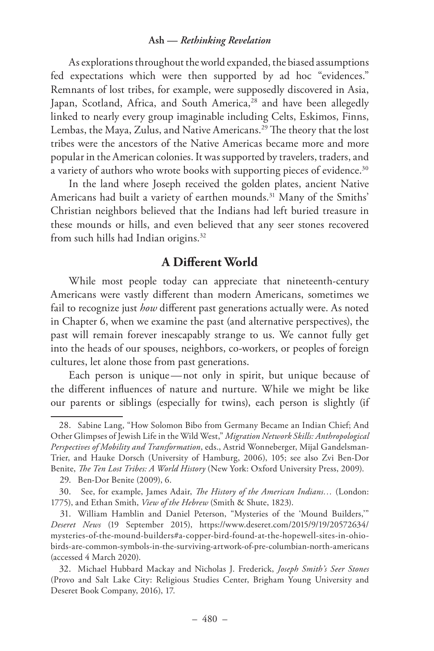As explorations throughout the world expanded, the biased assumptions fed expectations which were then supported by ad hoc "evidences." Remnants of lost tribes, for example, were supposedly discovered in Asia, Japan, Scotland, Africa, and South America,<sup>28</sup> and have been allegedly linked to nearly every group imaginable including Celts, Eskimos, Finns, Lembas, the Maya, Zulus, and Native Americans.<sup>29</sup> The theory that the lost tribes were the ancestors of the Native Americas became more and more popular in the American colonies. It was supported by travelers, traders, and a variety of authors who wrote books with supporting pieces of evidence.<sup>30</sup>

In the land where Joseph received the golden plates, ancient Native Americans had built a variety of earthen mounds.<sup>31</sup> Many of the Smiths' Christian neighbors believed that the Indians had left buried treasure in these mounds or hills, and even believed that any seer stones recovered from such hills had Indian origins.32

# **A Different World**

While most people today can appreciate that nineteenth-century Americans were vastly different than modern Americans, sometimes we fail to recognize just *how* different past generations actually were. As noted in Chapter 6, when we examine the past (and alternative perspectives), the past will remain forever inescapably strange to us. We cannot fully get into the heads of our spouses, neighbors, co-workers, or peoples of foreign cultures, let alone those from past generations.

Each person is unique —not only in spirit, but unique because of the different influences of nature and nurture. While we might be like our parents or siblings (especially for twins), each person is slightly (if

<sup>28.</sup> Sabine Lang, "How Solomon Bibo from Germany Became an Indian Chief; And Other Glimpses of Jewish Life in the Wild West," *Migration Network Skills: Anthropological Perspectives of Mobility and Transformation*, eds., Astrid Wonneberger, Mijal Gandelsman-Trier, and Hauke Dorsch (University of Hamburg, 2006), 105; see also Zvi Ben-Dor Benite, *The Ten Lost Tribes: A World History* (New York: Oxford University Press, 2009).

<sup>29.</sup> Ben-Dor Benite (2009), 6.

<sup>30.</sup> See, for example, James Adair, *The History of the American Indians…* (London: 1775), and Ethan Smith, *View of the Hebrew* (Smith & Shute, 1823).

<sup>31.</sup> William Hamblin and Daniel Peterson, "Mysteries of the 'Mound Builders,'" *Deseret News* (19 September 2015), https://www.deseret.com/2015/9/19/20572634/ mysteries-of-the-mound-builders#a-copper-bird-found-at-the-hopewell-sites-in-ohiobirds-are-common-symbols-in-the-surviving-artwork-of-pre-columbian-north-americans (accessed 4 March 2020).

<sup>32.</sup> Michael Hubbard Mackay and Nicholas J. Frederick, *Joseph Smith's Seer Stones* (Provo and Salt Lake City: Religious Studies Center, Brigham Young University and Deseret Book Company, 2016), 17.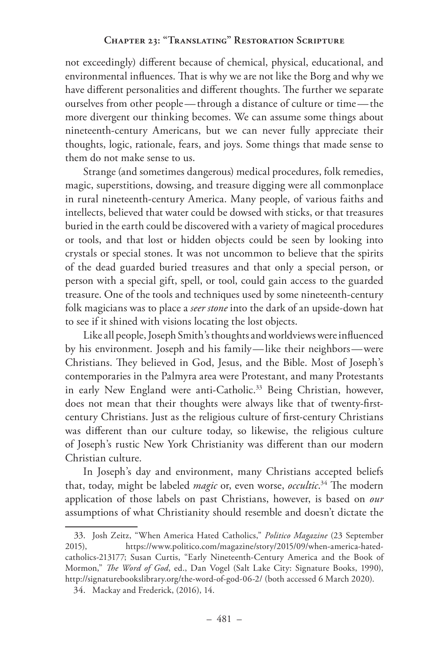not exceedingly) different because of chemical, physical, educational, and environmental influences. That is why we are not like the Borg and why we have different personalities and different thoughts. The further we separate ourselves from other people —through a distance of culture or time —the more divergent our thinking becomes. We can assume some things about nineteenth-century Americans, but we can never fully appreciate their thoughts, logic, rationale, fears, and joys. Some things that made sense to them do not make sense to us.

Strange (and sometimes dangerous) medical procedures, folk remedies, magic, superstitions, dowsing, and treasure digging were all commonplace in rural nineteenth-century America. Many people, of various faiths and intellects, believed that water could be dowsed with sticks, or that treasures buried in the earth could be discovered with a variety of magical procedures or tools, and that lost or hidden objects could be seen by looking into crystals or special stones. It was not uncommon to believe that the spirits of the dead guarded buried treasures and that only a special person, or person with a special gift, spell, or tool, could gain access to the guarded treasure. One of the tools and techniques used by some nineteenth-century folk magicians was to place a *seer stone* into the dark of an upside-down hat to see if it shined with visions locating the lost objects.

Like all people, Joseph Smith's thoughts and worldviews were influenced by his environment. Joseph and his family—like their neighbors —were Christians. They believed in God, Jesus, and the Bible. Most of Joseph's contemporaries in the Palmyra area were Protestant, and many Protestants in early New England were anti-Catholic.<sup>33</sup> Being Christian, however, does not mean that their thoughts were always like that of twenty-firstcentury Christians. Just as the religious culture of first-century Christians was different than our culture today, so likewise, the religious culture of Joseph's rustic New York Christianity was different than our modern Christian culture.

In Joseph's day and environment, many Christians accepted beliefs that, today, might be labeled *magic* or, even worse, *occultic*. 34 The modern application of those labels on past Christians, however, is based on *our* assumptions of what Christianity should resemble and doesn't dictate the

<sup>33.</sup> Josh Zeitz, "When America Hated Catholics," *Politico Magazine* (23 September 2015), https://www.politico.com/magazine/story/2015/09/when-america-hatedcatholics-213177; Susan Curtis, "Early Nineteenth-Century America and the Book of Mormon," *The Word of God*, ed., Dan Vogel (Salt Lake City: Signature Books, 1990), http://signaturebookslibrary.org/the-word-of-god-06-2/ (both accessed 6 March 2020).

<sup>34.</sup> Mackay and Frederick, (2016), 14.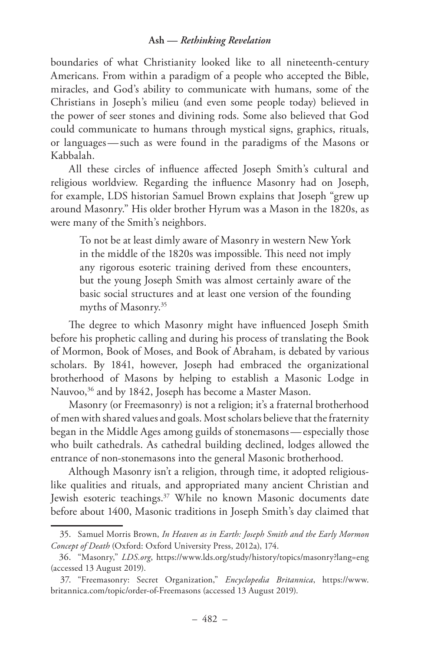boundaries of what Christianity looked like to all nineteenth-century Americans. From within a paradigm of a people who accepted the Bible, miracles, and God's ability to communicate with humans, some of the Christians in Joseph's milieu (and even some people today) believed in the power of seer stones and divining rods. Some also believed that God could communicate to humans through mystical signs, graphics, rituals, or languages — such as were found in the paradigms of the Masons or Kabbalah.

All these circles of influence affected Joseph Smith's cultural and religious worldview. Regarding the influence Masonry had on Joseph, for example, LDS historian Samuel Brown explains that Joseph "grew up around Masonry." His older brother Hyrum was a Mason in the 1820s, as were many of the Smith's neighbors.

To not be at least dimly aware of Masonry in western New York in the middle of the 1820s was impossible. This need not imply any rigorous esoteric training derived from these encounters, but the young Joseph Smith was almost certainly aware of the basic social structures and at least one version of the founding myths of Masonry.35

The degree to which Masonry might have influenced Joseph Smith before his prophetic calling and during his process of translating the Book of Mormon, Book of Moses, and Book of Abraham, is debated by various scholars. By 1841, however, Joseph had embraced the organizational brotherhood of Masons by helping to establish a Masonic Lodge in Nauvoo,<sup>36</sup> and by 1842, Joseph has become a Master Mason.

Masonry (or Freemasonry) is not a religion; it's a fraternal brotherhood of men with shared values and goals. Most scholars believe that the fraternity began in the Middle Ages among guilds of stonemasons — especially those who built cathedrals. As cathedral building declined, lodges allowed the entrance of non-stonemasons into the general Masonic brotherhood.

Although Masonry isn't a religion, through time, it adopted religiouslike qualities and rituals, and appropriated many ancient Christian and Jewish esoteric teachings.37 While no known Masonic documents date before about 1400, Masonic traditions in Joseph Smith's day claimed that

<sup>35.</sup> Samuel Morris Brown, *In Heaven as in Earth: Joseph Smith and the Early Mormon Concept of Death* (Oxford: Oxford University Press, 2012a), 174.

<sup>36.</sup> "Masonry," *LDS.org*, https://www.lds.org/study/history/topics/masonry?lang=eng (accessed 13 August 2019).

<sup>37.</sup> "Freemasonry: Secret Organization," *Encyclopedia Britannica*, https://www. britannica.com/topic/order-of-Freemasons (accessed 13 August 2019).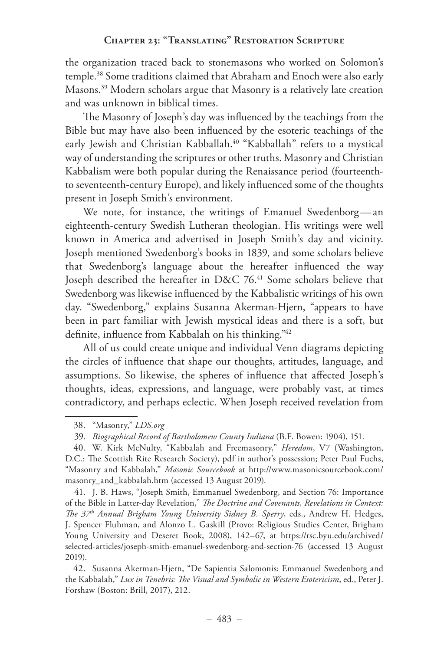the organization traced back to stonemasons who worked on Solomon's temple.38 Some traditions claimed that Abraham and Enoch were also early Masons.39 Modern scholars argue that Masonry is a relatively late creation and was unknown in biblical times.

The Masonry of Joseph's day was influenced by the teachings from the Bible but may have also been influenced by the esoteric teachings of the early Jewish and Christian Kabballah.<sup>40</sup> "Kabballah" refers to a mystical way of understanding the scriptures or other truths. Masonry and Christian Kabbalism were both popular during the Renaissance period (fourteenthto seventeenth-century Europe), and likely influenced some of the thoughts present in Joseph Smith's environment.

We note, for instance, the writings of Emanuel Swedenborg-an eighteenth-century Swedish Lutheran theologian. His writings were well known in America and advertised in Joseph Smith's day and vicinity. Joseph mentioned Swedenborg's books in 1839, and some scholars believe that Swedenborg's language about the hereafter influenced the way Joseph described the hereafter in D&C 76.<sup>41</sup> Some scholars believe that Swedenborg was likewise influenced by the Kabbalistic writings of his own day. "Swedenborg," explains Susanna Akerman-Hjern, "appears to have been in part familiar with Jewish mystical ideas and there is a soft, but definite, influence from Kabbalah on his thinking."42

All of us could create unique and individual Venn diagrams depicting the circles of influence that shape our thoughts, attitudes, language, and assumptions. So likewise, the spheres of influence that affected Joseph's thoughts, ideas, expressions, and language, were probably vast, at times contradictory, and perhaps eclectic. When Joseph received revelation from

41. J. B. Haws, "Joseph Smith, Emmanuel Swedenborg, and Section 76: Importance of the Bible in Latter-day Revelation," *The Doctrine and Covenants, Revelations in Context: The 37th Annual Brigham Young University Sidney B. Sperry*, eds., Andrew H. Hedges, J. Spencer Fluhman, and Alonzo L. Gaskill (Provo: Religious Studies Center, Brigham Young University and Deseret Book, 2008), 142–67, at https://rsc.byu.edu/archived/ selected-articles/joseph-smith-emanuel-swedenborg-and-section-76 (accessed 13 August 2019).

<sup>38.</sup> "Masonry," *LDS.org*

<sup>39.</sup> *Biographical Record of Bartholomew County Indiana* (B.F. Bowen: 1904), 151.

<sup>40.</sup> W. Kirk McNulty, "Kabbalah and Freemasonry," *Heredom*, V7 (Washington, D.C.: The Scottish Rite Research Society), pdf in author's possession; Peter Paul Fuchs, "Masonry and Kabbalah," *Masonic Sourcebook* at http://www.masonicsourcebook.com/ masonry\_and\_kabbalah.htm (accessed 13 August 2019).

<sup>42.</sup> Susanna Akerman-Hjern, "De Sapientia Salomonis: Emmanuel Swedenborg and the Kabbalah," *Lux in Tenebris: The Visual and Symbolic in Western Esotericism*, ed., Peter J. Forshaw (Boston: Brill, 2017), 212.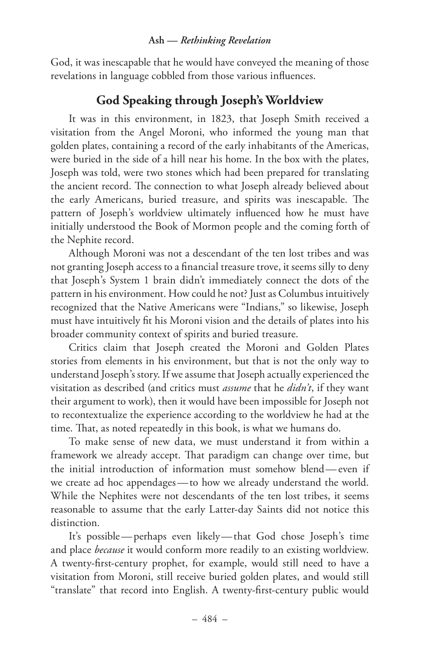God, it was inescapable that he would have conveyed the meaning of those revelations in language cobbled from those various influences.

# **God Speaking through Joseph's Worldview**

It was in this environment, in 1823, that Joseph Smith received a visitation from the Angel Moroni, who informed the young man that golden plates, containing a record of the early inhabitants of the Americas, were buried in the side of a hill near his home. In the box with the plates, Joseph was told, were two stones which had been prepared for translating the ancient record. The connection to what Joseph already believed about the early Americans, buried treasure, and spirits was inescapable. The pattern of Joseph's worldview ultimately influenced how he must have initially understood the Book of Mormon people and the coming forth of the Nephite record.

Although Moroni was not a descendant of the ten lost tribes and was not granting Joseph access to a financial treasure trove, it seems silly to deny that Joseph's System 1 brain didn't immediately connect the dots of the pattern in his environment. How could he not? Just as Columbus intuitively recognized that the Native Americans were "Indians," so likewise, Joseph must have intuitively fit his Moroni vision and the details of plates into his broader community context of spirits and buried treasure.

Critics claim that Joseph created the Moroni and Golden Plates stories from elements in his environment, but that is not the only way to understand Joseph's story. If we assume that Joseph actually experienced the visitation as described (and critics must *assume* that he *didn't*, if they want their argument to work), then it would have been impossible for Joseph not to recontextualize the experience according to the worldview he had at the time. That, as noted repeatedly in this book, is what we humans do.

To make sense of new data, we must understand it from within a framework we already accept. That paradigm can change over time, but the initial introduction of information must somehow blend— even if we create ad hoc appendages — to how we already understand the world. While the Nephites were not descendants of the ten lost tribes, it seems reasonable to assume that the early Latter-day Saints did not notice this distinction.

It's possible —perhaps even likely—that God chose Joseph's time and place *because* it would conform more readily to an existing worldview. A twenty-first-century prophet, for example, would still need to have a visitation from Moroni, still receive buried golden plates, and would still "translate" that record into English. A twenty-first-century public would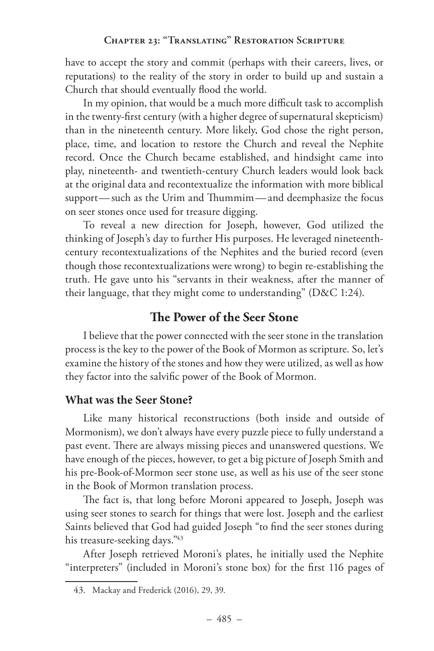have to accept the story and commit (perhaps with their careers, lives, or reputations) to the reality of the story in order to build up and sustain a Church that should eventually flood the world.

In my opinion, that would be a much more difficult task to accomplish in the twenty-first century (with a higher degree of supernatural skepticism) than in the nineteenth century. More likely, God chose the right person, place, time, and location to restore the Church and reveal the Nephite record. Once the Church became established, and hindsight came into play, nineteenth- and twentieth-century Church leaders would look back at the original data and recontextualize the information with more biblical support— such as the Urim and Thummim— and deemphasize the focus on seer stones once used for treasure digging.

To reveal a new direction for Joseph, however, God utilized the thinking of Joseph's day to further His purposes. He leveraged nineteenthcentury recontextualizations of the Nephites and the buried record (even though those recontextualizations were wrong) to begin re-establishing the truth. He gave unto his "servants in their weakness, after the manner of their language, that they might come to understanding" (D&C 1:24).

# **The Power of the Seer Stone**

I believe that the power connected with the seer stone in the translation process is the key to the power of the Book of Mormon as scripture. So, let's examine the history of the stones and how they were utilized, as well as how they factor into the salvific power of the Book of Mormon.

# **What was the Seer Stone?**

Like many historical reconstructions (both inside and outside of Mormonism), we don't always have every puzzle piece to fully understand a past event. There are always missing pieces and unanswered questions. We have enough of the pieces, however, to get a big picture of Joseph Smith and his pre-Book-of-Mormon seer stone use, as well as his use of the seer stone in the Book of Mormon translation process.

The fact is, that long before Moroni appeared to Joseph, Joseph was using seer stones to search for things that were lost. Joseph and the earliest Saints believed that God had guided Joseph "to find the seer stones during his treasure-seeking days."43

After Joseph retrieved Moroni's plates, he initially used the Nephite "interpreters" (included in Moroni's stone box) for the first 116 pages of

<sup>43.</sup> Mackay and Frederick (2016), 29, 39.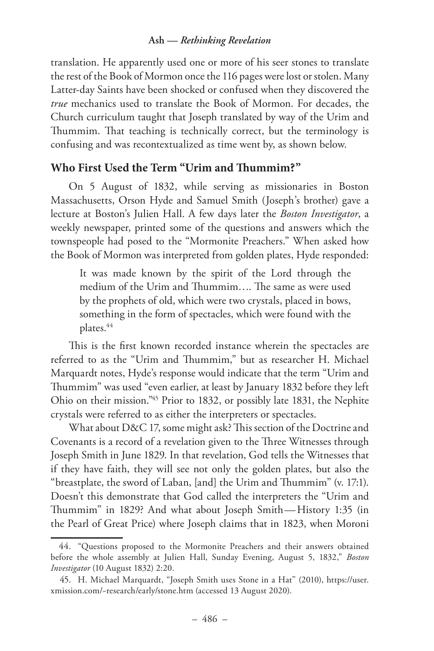translation. He apparently used one or more of his seer stones to translate the rest of the Book of Mormon once the 116 pages were lost or stolen. Many Latter-day Saints have been shocked or confused when they discovered the *true* mechanics used to translate the Book of Mormon. For decades, the Church curriculum taught that Joseph translated by way of the Urim and Thummim. That teaching is technically correct, but the terminology is confusing and was recontextualized as time went by, as shown below.

# **Who First Used the Term "Urim and Thummim?"**

On 5 August of 1832, while serving as missionaries in Boston Massachusetts, Orson Hyde and Samuel Smith (Joseph's brother) gave a lecture at Boston's Julien Hall. A few days later the *Boston Investigator*, a weekly newspaper, printed some of the questions and answers which the townspeople had posed to the "Mormonite Preachers." When asked how the Book of Mormon was interpreted from golden plates, Hyde responded:

It was made known by the spirit of the Lord through the medium of the Urim and Thummim…. The same as were used by the prophets of old, which were two crystals, placed in bows, something in the form of spectacles, which were found with the plates.<sup>44</sup>

This is the first known recorded instance wherein the spectacles are referred to as the "Urim and Thummim," but as researcher H. Michael Marquardt notes, Hyde's response would indicate that the term "Urim and Thummim" was used "even earlier, at least by January 1832 before they left Ohio on their mission."45 Prior to 1832, or possibly late 1831, the Nephite crystals were referred to as either the interpreters or spectacles.

What about D&C 17, some might ask? This section of the Doctrine and Covenants is a record of a revelation given to the Three Witnesses through Joseph Smith in June 1829. In that revelation, God tells the Witnesses that if they have faith, they will see not only the golden plates, but also the "breastplate, the sword of Laban, [and] the Urim and Thummim" (v. 17:1). Doesn't this demonstrate that God called the interpreters the "Urim and Thummim" in 1829? And what about Joseph Smith—History 1:35 (in the Pearl of Great Price) where Joseph claims that in 1823, when Moroni

<sup>44.</sup> "Questions proposed to the Mormonite Preachers and their answers obtained before the whole assembly at Julien Hall, Sunday Evening, August 5, 1832," *Boston Investigator* (10 August 1832) 2:20.

<sup>45.</sup> H. Michael Marquardt, "Joseph Smith uses Stone in a Hat" (2010), https://user. xmission.com/~research/early/stone.htm (accessed 13 August 2020).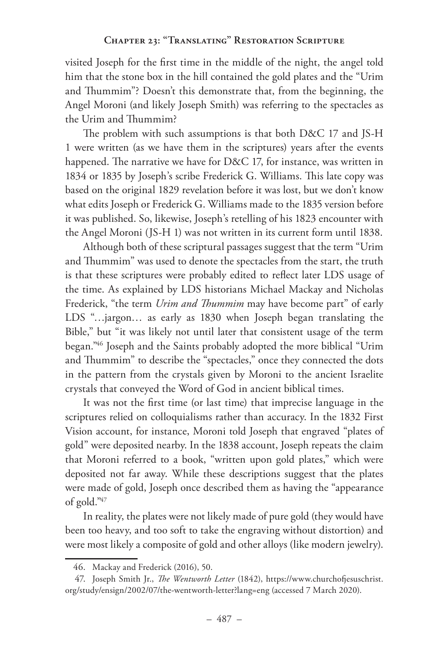visited Joseph for the first time in the middle of the night, the angel told him that the stone box in the hill contained the gold plates and the "Urim and Thummim"? Doesn't this demonstrate that, from the beginning, the Angel Moroni (and likely Joseph Smith) was referring to the spectacles as the Urim and Thummim?

The problem with such assumptions is that both D&C 17 and JS-H 1 were written (as we have them in the scriptures) years after the events happened. The narrative we have for D&C 17, for instance, was written in 1834 or 1835 by Joseph's scribe Frederick G. Williams. This late copy was based on the original 1829 revelation before it was lost, but we don't know what edits Joseph or Frederick G. Williams made to the 1835 version before it was published. So, likewise, Joseph's retelling of his 1823 encounter with the Angel Moroni (JS-H 1) was not written in its current form until 1838.

Although both of these scriptural passages suggest that the term "Urim and Thummim" was used to denote the spectacles from the start, the truth is that these scriptures were probably edited to reflect later LDS usage of the time. As explained by LDS historians Michael Mackay and Nicholas Frederick, "the term *Urim and Thummim* may have become part" of early LDS "...jargon... as early as 1830 when Joseph began translating the Bible," but "it was likely not until later that consistent usage of the term began."46 Joseph and the Saints probably adopted the more biblical "Urim and Thummim" to describe the "spectacles," once they connected the dots in the pattern from the crystals given by Moroni to the ancient Israelite crystals that conveyed the Word of God in ancient biblical times.

It was not the first time (or last time) that imprecise language in the scriptures relied on colloquialisms rather than accuracy. In the 1832 First Vision account, for instance, Moroni told Joseph that engraved "plates of gold" were deposited nearby. In the 1838 account, Joseph repeats the claim that Moroni referred to a book, "written upon gold plates," which were deposited not far away. While these descriptions suggest that the plates were made of gold, Joseph once described them as having the "appearance of gold."47

In reality, the plates were not likely made of pure gold (they would have been too heavy, and too soft to take the engraving without distortion) and were most likely a composite of gold and other alloys (like modern jewelry).

<sup>46.</sup> Mackay and Frederick (2016), 50.

<sup>47.</sup> Joseph Smith Jr., *The Wentworth Letter* (1842), https://www.churchofjesuschrist. org/study/ensign/2002/07/the-wentworth-letter?lang=eng (accessed 7 March 2020).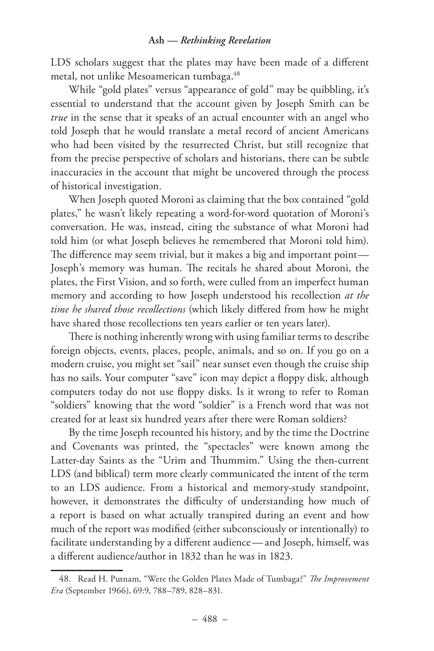LDS scholars suggest that the plates may have been made of a different metal, not unlike Mesoamerican tumbaga.<sup>48</sup>

While "gold plates" versus "appearance of gold" may be quibbling, it's essential to understand that the account given by Joseph Smith can be *true* in the sense that it speaks of an actual encounter with an angel who told Joseph that he would translate a metal record of ancient Americans who had been visited by the resurrected Christ, but still recognize that from the precise perspective of scholars and historians, there can be subtle inaccuracies in the account that might be uncovered through the process of historical investigation.

When Joseph quoted Moroni as claiming that the box contained "gold plates," he wasn't likely repeating a word-for-word quotation of Moroni's conversation. He was, instead, citing the substance of what Moroni had told him (or what Joseph believes he remembered that Moroni told him). The difference may seem trivial, but it makes a big and important point— Joseph's memory was human. The recitals he shared about Moroni, the plates, the First Vision, and so forth, were culled from an imperfect human memory and according to how Joseph understood his recollection *at the time he shared those recollections* (which likely differed from how he might have shared those recollections ten years earlier or ten years later).

There is nothing inherently wrong with using familiar terms to describe foreign objects, events, places, people, animals, and so on. If you go on a modern cruise, you might set "sail" near sunset even though the cruise ship has no sails. Your computer "save" icon may depict a floppy disk, although computers today do not use floppy disks. Is it wrong to refer to Roman "soldiers" knowing that the word "soldier" is a French word that was not created for at least six hundred years after there were Roman soldiers?

By the time Joseph recounted his history, and by the time the Doctrine and Covenants was printed, the "spectacles" were known among the Latter-day Saints as the "Urim and Thummim." Using the then-current LDS (and biblical) term more clearly communicated the intent of the term to an LDS audience. From a historical and memory-study standpoint, however, it demonstrates the difficulty of understanding how much of a report is based on what actually transpired during an event and how much of the report was modified (either subconsciously or intentionally) to facilitate understanding by a different audience — and Joseph, himself, was a different audience/author in 1832 than he was in 1823.

<sup>48.</sup> Read H. Putnam, "Were the Golden Plates Made of Tumbaga?" *The Improvement Era* (September 1966), 69:9, 788–789, 828–831.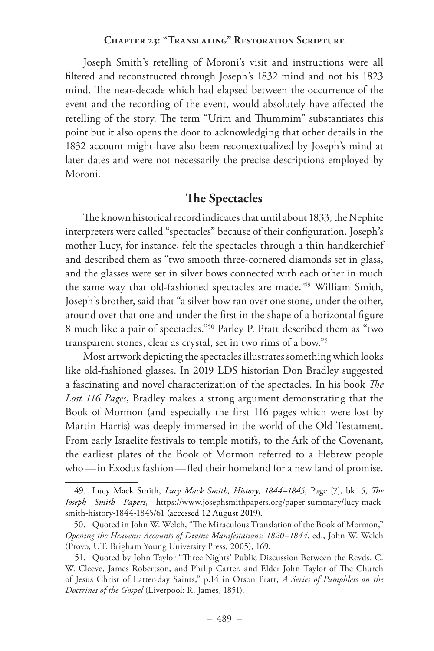Joseph Smith's retelling of Moroni's visit and instructions were all filtered and reconstructed through Joseph's 1832 mind and not his 1823 mind. The near-decade which had elapsed between the occurrence of the event and the recording of the event, would absolutely have affected the retelling of the story. The term "Urim and Thummim" substantiates this point but it also opens the door to acknowledging that other details in the 1832 account might have also been recontextualized by Joseph's mind at later dates and were not necessarily the precise descriptions employed by Moroni.

# **The Spectacles**

The known historical record indicates that until about 1833, the Nephite interpreters were called "spectacles" because of their configuration. Joseph's mother Lucy, for instance, felt the spectacles through a thin handkerchief and described them as "two smooth three-cornered diamonds set in glass, and the glasses were set in silver bows connected with each other in much the same way that old-fashioned spectacles are made."<sup>49</sup> William Smith, Joseph's brother, said that "a silver bow ran over one stone, under the other, around over that one and under the first in the shape of a horizontal figure 8 much like a pair of spectacles."50 Parley P. Pratt described them as "two transparent stones, clear as crystal, set in two rims of a bow."51

Most artwork depicting the spectacles illustrates something which looks like old-fashioned glasses. In 2019 LDS historian Don Bradley suggested a fascinating and novel characterization of the spectacles. In his book *The Lost 116 Pages*, Bradley makes a strong argument demonstrating that the Book of Mormon (and especially the first 116 pages which were lost by Martin Harris) was deeply immersed in the world of the Old Testament. From early Israelite festivals to temple motifs, to the Ark of the Covenant, the earliest plates of the Book of Mormon referred to a Hebrew people who —in Exodus fashion—fled their homeland for a new land of promise.

<sup>49.</sup> Lucy Mack Smith, *Lucy Mack Smith, History, 1844–1845*, Page [7], bk. 5, *The Joseph Smith Papers*, https://www.josephsmithpapers.org/paper-summary/lucy-macksmith-history-1844-1845/61 (accessed 12 August 2019).

<sup>50.</sup> Quoted in John W. Welch, "The Miraculous Translation of the Book of Mormon," *Opening the Heavens: Accounts of Divine Manifestations: 1820–1844*, ed., John W. Welch (Provo, UT: Brigham Young University Press, 2005), 169.

<sup>51.</sup> Quoted by John Taylor "Three Nights' Public Discussion Between the Revds. C. W. Cleeve, James Robertson, and Philip Carter, and Elder John Taylor of The Church of Jesus Christ of Latter-day Saints," p.14 in Orson Pratt, *A Series of Pamphlets on the Doctrines of the Gospel* (Liverpool: R. James, 1851).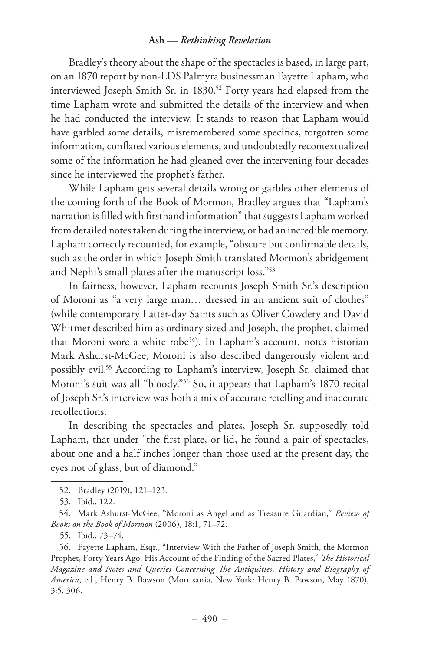Bradley's theory about the shape of the spectacles is based, in large part, on an 1870 report by non-LDS Palmyra businessman Fayette Lapham, who interviewed Joseph Smith Sr. in 1830.<sup>52</sup> Forty years had elapsed from the time Lapham wrote and submitted the details of the interview and when he had conducted the interview. It stands to reason that Lapham would have garbled some details, misremembered some specifics, forgotten some information, conflated various elements, and undoubtedly recontextualized some of the information he had gleaned over the intervening four decades since he interviewed the prophet's father.

While Lapham gets several details wrong or garbles other elements of the coming forth of the Book of Mormon, Bradley argues that "Lapham's narration is filled with firsthand information" that suggests Lapham worked from detailed notes taken during the interview, or had an incredible memory. Lapham correctly recounted, for example, "obscure but confirmable details, such as the order in which Joseph Smith translated Mormon's abridgement and Nephi's small plates after the manuscript loss."53

In fairness, however, Lapham recounts Joseph Smith Sr.'s description of Moroni as "a very large man… dressed in an ancient suit of clothes" (while contemporary Latter-day Saints such as Oliver Cowdery and David Whitmer described him as ordinary sized and Joseph, the prophet, claimed that Moroni wore a white robe<sup>54</sup>). In Lapham's account, notes historian Mark Ashurst-McGee, Moroni is also described dangerously violent and possibly evil.55 According to Lapham's interview, Joseph Sr. claimed that Moroni's suit was all "bloody."56 So, it appears that Lapham's 1870 recital of Joseph Sr.'s interview was both a mix of accurate retelling and inaccurate recollections.

In describing the spectacles and plates, Joseph Sr. supposedly told Lapham, that under "the first plate, or lid, he found a pair of spectacles, about one and a half inches longer than those used at the present day, the eyes not of glass, but of diamond."

<sup>52.</sup> Bradley (2019), 121–123.

<sup>53.</sup> Ibid., 122.

<sup>54.</sup> Mark Ashurst-McGee, "Moroni as Angel and as Treasure Guardian," *Review of Books on the Book of Mormon* (2006), 18:1, 71–72.

<sup>55.</sup> Ibid., 73–74.

<sup>56.</sup> Fayette Lapham, Esqr., "Interview With the Father of Joseph Smith, the Mormon Prophet, Forty Years Ago. His Account of the Finding of the Sacred Plates," *The Historical Magazine and Notes and Queries Concerning The Antiquities, History and Biography of America*, ed., Henry B. Bawson (Morrisania, New York: Henry B. Bawson, May 1870), 3:5, 306.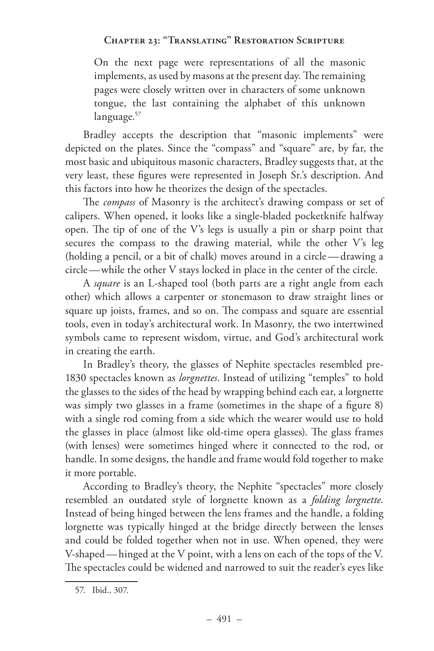On the next page were representations of all the masonic implements, as used by masons at the present day. The remaining pages were closely written over in characters of some unknown tongue, the last containing the alphabet of this unknown language.<sup>57</sup>

Bradley accepts the description that "masonic implements" were depicted on the plates. Since the "compass" and "square" are, by far, the most basic and ubiquitous masonic characters, Bradley suggests that, at the very least, these figures were represented in Joseph Sr.'s description. And this factors into how he theorizes the design of the spectacles.

The *compass* of Masonry is the architect's drawing compass or set of calipers. When opened, it looks like a single-bladed pocketknife halfway open. The tip of one of the V's legs is usually a pin or sharp point that secures the compass to the drawing material, while the other V's leg (holding a pencil, or a bit of chalk) moves around in a circle — drawing a circle —while the other V stays locked in place in the center of the circle.

A *square* is an L-shaped tool (both parts are a right angle from each other) which allows a carpenter or stonemason to draw straight lines or square up joists, frames, and so on. The compass and square are essential tools, even in today's architectural work. In Masonry, the two intertwined symbols came to represent wisdom, virtue, and God's architectural work in creating the earth.

In Bradley's theory, the glasses of Nephite spectacles resembled pre-1830 spectacles known as *lorgnettes*. Instead of utilizing "temples" to hold the glasses to the sides of the head by wrapping behind each ear, a lorgnette was simply two glasses in a frame (sometimes in the shape of a figure 8) with a single rod coming from a side which the wearer would use to hold the glasses in place (almost like old-time opera glasses). The glass frames (with lenses) were sometimes hinged where it connected to the rod, or handle. In some designs, the handle and frame would fold together to make it more portable.

According to Bradley's theory, the Nephite "spectacles" more closely resembled an outdated style of lorgnette known as a *folding lorgnette*. Instead of being hinged between the lens frames and the handle, a folding lorgnette was typically hinged at the bridge directly between the lenses and could be folded together when not in use. When opened, they were V-shaped—hinged at the V point, with a lens on each of the tops of the V. The spectacles could be widened and narrowed to suit the reader's eyes like

<sup>57.</sup> Ibid., 307.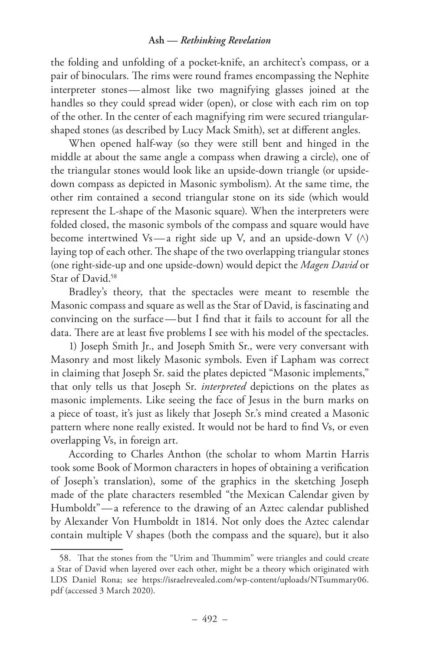the folding and unfolding of a pocket-knife, an architect's compass, or a pair of binoculars. The rims were round frames encompassing the Nephite interpreter stones — almost like two magnifying glasses joined at the handles so they could spread wider (open), or close with each rim on top of the other. In the center of each magnifying rim were secured triangularshaped stones (as described by Lucy Mack Smith), set at different angles.

When opened half-way (so they were still bent and hinged in the middle at about the same angle a compass when drawing a circle), one of the triangular stones would look like an upside-down triangle (or upsidedown compass as depicted in Masonic symbolism). At the same time, the other rim contained a second triangular stone on its side (which would represent the L-shape of the Masonic square). When the interpreters were folded closed, the masonic symbols of the compass and square would have become intertwined Vs—a right side up V, and an upside-down V  $(\wedge)$ laying top of each other. The shape of the two overlapping triangular stones (one right-side-up and one upside-down) would depict the *Magen David* or Star of David.<sup>58</sup>

Bradley's theory, that the spectacles were meant to resemble the Masonic compass and square as well as the Star of David, is fascinating and convincing on the surface —but I find that it fails to account for all the data. There are at least five problems I see with his model of the spectacles.

1) Joseph Smith Jr., and Joseph Smith Sr., were very conversant with Masonry and most likely Masonic symbols. Even if Lapham was correct in claiming that Joseph Sr. said the plates depicted "Masonic implements," that only tells us that Joseph Sr. *interpreted* depictions on the plates as masonic implements. Like seeing the face of Jesus in the burn marks on a piece of toast, it's just as likely that Joseph Sr.'s mind created a Masonic pattern where none really existed. It would not be hard to find Vs, or even overlapping Vs, in foreign art.

According to Charles Anthon (the scholar to whom Martin Harris took some Book of Mormon characters in hopes of obtaining a verification of Joseph's translation), some of the graphics in the sketching Joseph made of the plate characters resembled "the Mexican Calendar given by Humboldt"— a reference to the drawing of an Aztec calendar published by Alexander Von Humboldt in 1814. Not only does the Aztec calendar contain multiple V shapes (both the compass and the square), but it also

<sup>58.</sup> That the stones from the "Urim and Thummim" were triangles and could create a Star of David when layered over each other, might be a theory which originated with LDS Daniel Rona; see https://israelrevealed.com/wp-content/uploads/NTsummary06. pdf (accessed 3 March 2020).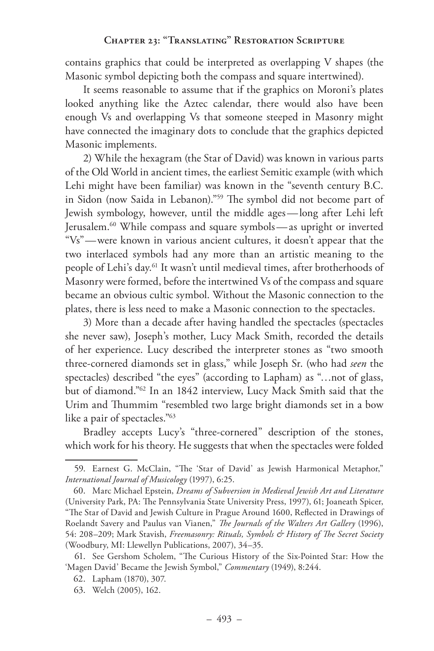contains graphics that could be interpreted as overlapping V shapes (the Masonic symbol depicting both the compass and square intertwined).

It seems reasonable to assume that if the graphics on Moroni's plates looked anything like the Aztec calendar, there would also have been enough Vs and overlapping Vs that someone steeped in Masonry might have connected the imaginary dots to conclude that the graphics depicted Masonic implements.

2) While the hexagram (the Star of David) was known in various parts of the Old World in ancient times, the earliest Semitic example (with which Lehi might have been familiar) was known in the "seventh century B.C. in Sidon (now Saida in Lebanon)."59 The symbol did not become part of Jewish symbology, however, until the middle ages —long after Lehi left Jerusalem.60 While compass and square symbols — as upright or inverted "Vs"—were known in various ancient cultures, it doesn't appear that the two interlaced symbols had any more than an artistic meaning to the people of Lehi's day.61 It wasn't until medieval times, after brotherhoods of Masonry were formed, before the intertwined Vs of the compass and square became an obvious cultic symbol. Without the Masonic connection to the plates, there is less need to make a Masonic connection to the spectacles.

3) More than a decade after having handled the spectacles (spectacles she never saw), Joseph's mother, Lucy Mack Smith, recorded the details of her experience. Lucy described the interpreter stones as "two smooth three-cornered diamonds set in glass," while Joseph Sr. (who had *seen* the spectacles) described "the eyes" (according to Lapham) as "…not of glass, but of diamond."62 In an 1842 interview, Lucy Mack Smith said that the Urim and Thummim "resembled two large bright diamonds set in a bow like a pair of spectacles."63

Bradley accepts Lucy's "three-cornered" description of the stones, which work for his theory. He suggests that when the spectacles were folded

<sup>59.</sup> Earnest G. McClain, "The 'Star of David' as Jewish Harmonical Metaphor," *International Journal of Musicology* (1997), 6:25.

<sup>60.</sup> Marc Michael Epstein, *Dreams of Subversion in Medieval Jewish Art and Literature* (University Park, PA: The Pennsylvania State University Press, 1997), 61; Joaneath Spicer, "The Star of David and Jewish Culture in Prague Around 1600, Reflected in Drawings of Roelandt Savery and Paulus van Vianen," *The Journals of the Walters Art Gallery* (1996), 54: 208–209; Mark Stavish, *Freemasonry: Rituals, Symbols & History of The Secret Society* (Woodbury, MI: Llewellyn Publications, 2007), 34–35.

<sup>61.</sup> See Gershom Scholem, "The Curious History of the Six-Pointed Star: How the 'Magen David' Became the Jewish Symbol," *Commentary* (1949), 8:244.

<sup>62.</sup> Lapham (1870), 307.

<sup>63.</sup> Welch (2005), 162.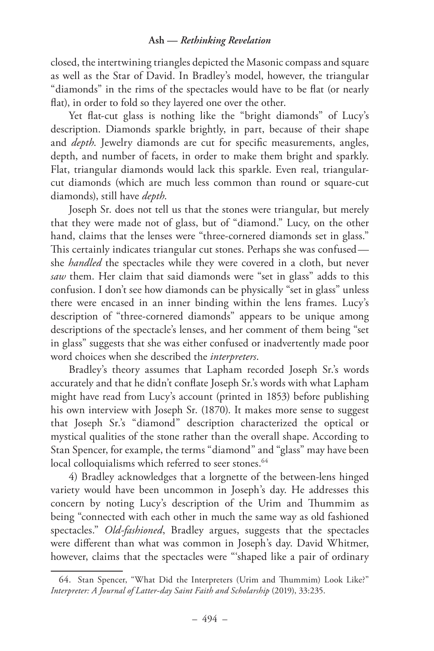closed, the intertwining triangles depicted the Masonic compass and square as well as the Star of David. In Bradley's model, however, the triangular "diamonds" in the rims of the spectacles would have to be flat (or nearly flat), in order to fold so they layered one over the other.

Yet flat-cut glass is nothing like the "bright diamonds" of Lucy's description. Diamonds sparkle brightly, in part, because of their shape and *depth*. Jewelry diamonds are cut for specific measurements, angles, depth, and number of facets, in order to make them bright and sparkly. Flat, triangular diamonds would lack this sparkle. Even real, triangularcut diamonds (which are much less common than round or square-cut diamonds), still have *depth*.

Joseph Sr. does not tell us that the stones were triangular, but merely that they were made not of glass, but of "diamond." Lucy, on the other hand, claims that the lenses were "three-cornered diamonds set in glass." This certainly indicates triangular cut stones. Perhaps she was confused she *handled* the spectacles while they were covered in a cloth, but never *saw* them. Her claim that said diamonds were "set in glass" adds to this confusion. I don't see how diamonds can be physically "set in glass" unless there were encased in an inner binding within the lens frames. Lucy's description of "three-cornered diamonds" appears to be unique among descriptions of the spectacle's lenses, and her comment of them being "set in glass" suggests that she was either confused or inadvertently made poor word choices when she described the *interpreters*.

Bradley's theory assumes that Lapham recorded Joseph Sr.'s words accurately and that he didn't conflate Joseph Sr.'s words with what Lapham might have read from Lucy's account (printed in 1853) before publishing his own interview with Joseph Sr. (1870). It makes more sense to suggest that Joseph Sr.'s "diamond" description characterized the optical or mystical qualities of the stone rather than the overall shape. According to Stan Spencer, for example, the terms "diamond" and "glass" may have been local colloquialisms which referred to seer stones.<sup>64</sup>

4) Bradley acknowledges that a lorgnette of the between-lens hinged variety would have been uncommon in Joseph's day. He addresses this concern by noting Lucy's description of the Urim and Thummim as being "connected with each other in much the same way as old fashioned spectacles." *Old-fashioned*, Bradley argues, suggests that the spectacles were different than what was common in Joseph's day. David Whitmer, however, claims that the spectacles were "'shaped like a pair of ordinary

<sup>64.</sup> Stan Spencer, "What Did the Interpreters (Urim and Thummim) Look Like?" *Interpreter: A Journal of Latter-day Saint Faith and Scholarship* (2019), 33:235.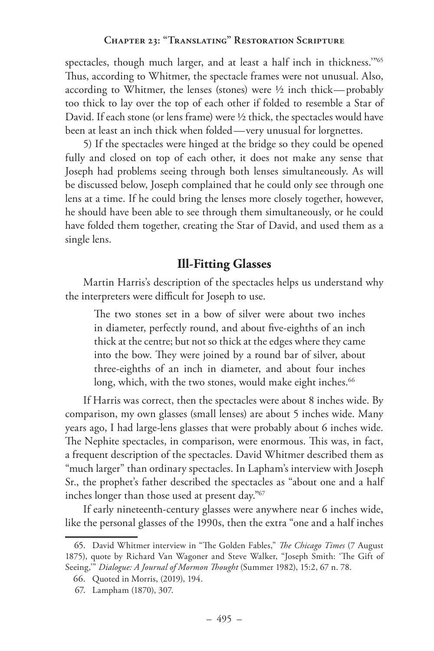spectacles, though much larger, and at least a half inch in thickness."<sup>65</sup> Thus, according to Whitmer, the spectacle frames were not unusual. Also, according to Whitmer, the lenses (stones) were  $\frac{1}{2}$  inch thick—probably too thick to lay over the top of each other if folded to resemble a Star of David. If each stone (or lens frame) were ½ thick, the spectacles would have been at least an inch thick when folded—very unusual for lorgnettes.

5) If the spectacles were hinged at the bridge so they could be opened fully and closed on top of each other, it does not make any sense that Joseph had problems seeing through both lenses simultaneously. As will be discussed below, Joseph complained that he could only see through one lens at a time. If he could bring the lenses more closely together, however, he should have been able to see through them simultaneously, or he could have folded them together, creating the Star of David, and used them as a single lens.

# **Ill-Fitting Glasses**

Martin Harris's description of the spectacles helps us understand why the interpreters were difficult for Joseph to use.

The two stones set in a bow of silver were about two inches in diameter, perfectly round, and about five-eighths of an inch thick at the centre; but not so thick at the edges where they came into the bow. They were joined by a round bar of silver, about three-eighths of an inch in diameter, and about four inches long, which, with the two stones, would make eight inches.<sup>66</sup>

If Harris was correct, then the spectacles were about 8 inches wide. By comparison, my own glasses (small lenses) are about 5 inches wide. Many years ago, I had large-lens glasses that were probably about 6 inches wide. The Nephite spectacles, in comparison, were enormous. This was, in fact, a frequent description of the spectacles. David Whitmer described them as "much larger" than ordinary spectacles. In Lapham's interview with Joseph Sr., the prophet's father described the spectacles as "about one and a half inches longer than those used at present day."67

If early nineteenth-century glasses were anywhere near 6 inches wide, like the personal glasses of the 1990s, then the extra "one and a half inches

<sup>65.</sup> David Whitmer interview in "The Golden Fables," *The Chicago Times* (7 August 1875), quote by Richard Van Wagoner and Steve Walker, "Joseph Smith: 'The Gift of Seeing,'" *Dialogue: A Journal of Mormon Thought* (Summer 1982), 15:2, 67 n. 78.

<sup>66.</sup> Quoted in Morris, (2019), 194.

<sup>67.</sup> Lampham (1870), 307.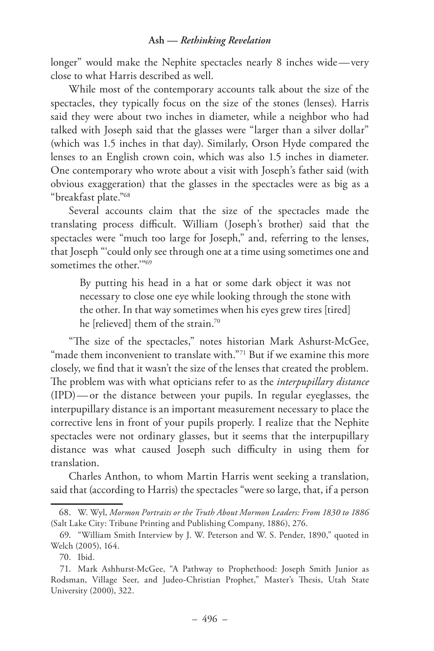longer" would make the Nephite spectacles nearly 8 inches wide —very close to what Harris described as well.

While most of the contemporary accounts talk about the size of the spectacles, they typically focus on the size of the stones (lenses). Harris said they were about two inches in diameter, while a neighbor who had talked with Joseph said that the glasses were "larger than a silver dollar" (which was 1.5 inches in that day). Similarly, Orson Hyde compared the lenses to an English crown coin, which was also 1.5 inches in diameter. One contemporary who wrote about a visit with Joseph's father said (with obvious exaggeration) that the glasses in the spectacles were as big as a "breakfast plate."68

Several accounts claim that the size of the spectacles made the translating process difficult. William (Joseph's brother) said that the spectacles were "much too large for Joseph," and, referring to the lenses, that Joseph "'could only see through one at a time using sometimes one and sometimes the other."<sup>69</sup>

By putting his head in a hat or some dark object it was not necessary to close one eye while looking through the stone with the other. In that way sometimes when his eyes grew tires [tired] he [relieved] them of the strain.70

"The size of the spectacles," notes historian Mark Ashurst-McGee, "made them inconvenient to translate with."<sup>71</sup> But if we examine this more closely, we find that it wasn't the size of the lenses that created the problem. The problem was with what opticians refer to as the *interpupillary distance* (IPD)— or the distance between your pupils. In regular eyeglasses, the interpupillary distance is an important measurement necessary to place the corrective lens in front of your pupils properly. I realize that the Nephite spectacles were not ordinary glasses, but it seems that the interpupillary distance was what caused Joseph such difficulty in using them for translation.

Charles Anthon, to whom Martin Harris went seeking a translation, said that (according to Harris) the spectacles "were so large, that, if a person

<sup>68.</sup> W. Wyl, *Mormon Portraits or the Truth About Mormon Leaders: From 1830 to 1886* (Salt Lake City: Tribune Printing and Publishing Company, 1886), 276.

<sup>69.</sup> "William Smith Interview by J. W. Peterson and W. S. Pender, 1890," quoted in Welch (2005), 164.

<sup>70.</sup> Ibid.

<sup>71.</sup> Mark Ashhurst-McGee, "A Pathway to Prophethood: Joseph Smith Junior as Rodsman, Village Seer, and Judeo-Christian Prophet," Master's Thesis, Utah State University (2000), 322.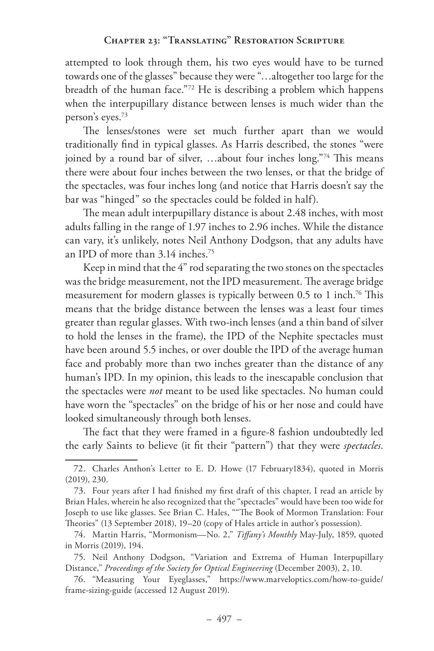attempted to look through them, his two eyes would have to be turned towards one of the glasses" because they were "…altogether too large for the breadth of the human face."72 He is describing a problem which happens when the interpupillary distance between lenses is much wider than the person's eyes.73

The lenses/stones were set much further apart than we would traditionally find in typical glasses. As Harris described, the stones "were joined by a round bar of silver, ...about four inches long."74 This means there were about four inches between the two lenses, or that the bridge of the spectacles, was four inches long (and notice that Harris doesn't say the bar was "hinged" so the spectacles could be folded in half).

The mean adult interpupillary distance is about 2.48 inches, with most adults falling in the range of 1.97 inches to 2.96 inches. While the distance can vary, it's unlikely, notes Neil Anthony Dodgson, that any adults have an IPD of more than 3.14 inches.75

Keep in mind that the 4" rod separating the two stones on the spectacles was the bridge measurement, not the IPD measurement. The average bridge measurement for modern glasses is typically between 0.5 to 1 inch.76 This means that the bridge distance between the lenses was a least four times greater than regular glasses. With two-inch lenses (and a thin band of silver to hold the lenses in the frame), the IPD of the Nephite spectacles must have been around 5.5 inches, or over double the IPD of the average human face and probably more than two inches greater than the distance of any human's IPD. In my opinion, this leads to the inescapable conclusion that the spectacles were *not* meant to be used like spectacles. No human could have worn the "spectacles" on the bridge of his or her nose and could have looked simultaneously through both lenses.

The fact that they were framed in a figure-8 fashion undoubtedly led the early Saints to believe (it fit their "pattern") that they were *spectacles*.

<sup>72.</sup> Charles Anthon's Letter to E. D. Howe (17 February1834), quoted in Morris (2019), 230.

<sup>73.</sup> Four years after I had finished my first draft of this chapter, I read an article by Brian Hales, wherein he also recognized that the "spectacles" would have been too wide for Joseph to use like glasses. See Brian C. Hales, ""The Book of Mormon Translation: Four Theories" (13 September 2018), 19–20 (copy of Hales article in author's possession).

<sup>74.</sup> Martin Harris, "Mormonism—No. 2," *Tiffany's Monthly* May-July, 1859, quoted in Morris (2019), 194.

<sup>75.</sup> Neil Anthony Dodgson, "Variation and Extrema of Human Interpupillary Distance," *Proceedings of the Society for Optical Engineering* (December 2003), 2, 10.

<sup>76.</sup> "Measuring Your Eyeglasses," https://www.marveloptics.com/how-to-guide/ frame-sizing-guide (accessed 12 August 2019).